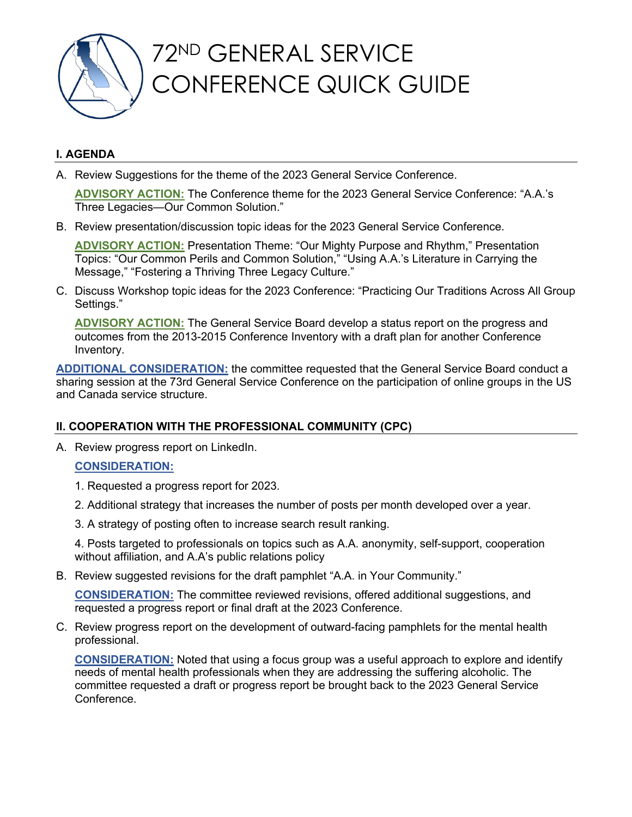

### **I. AGENDA**

A. Review Suggestions for the theme of the 2023 General Service Conference.

**ADVISORY ACTION:** The Conference theme for the 2023 General Service Conference: "A.A.'s Three Legacies—Our Common Solution."

B. Review presentation/discussion topic ideas for the 2023 General Service Conference.

**ADVISORY ACTION:** Presentation Theme: "Our Mighty Purpose and Rhythm," Presentation Topics: "Our Common Perils and Common Solution," "Using A.A.'s Literature in Carrying the Message," "Fostering a Thriving Three Legacy Culture."

C. Discuss Workshop topic ideas for the 2023 Conference: "Practicing Our Traditions Across All Group Settings."

**ADVISORY ACTION:** The General Service Board develop a status report on the progress and outcomes from the 2013-2015 Conference Inventory with a draft plan for another Conference Inventory.

**ADDITIONAL CONSIDERATION:** the committee requested that the General Service Board conduct a sharing session at the 73rd General Service Conference on the participation of online groups in the US and Canada service structure.

### **II. COOPERATION WITH THE PROFESSIONAL COMMUNITY (CPC)**

A. Review progress report on LinkedIn.

#### **CONSIDERATION:**

- 1. Requested a progress report for 2023.
- 2. Additional strategy that increases the number of posts per month developed over a year.
- 3. A strategy of posting often to increase search result ranking.

4. Posts targeted to professionals on topics such as A.A. anonymity, self-support, cooperation without affiliation, and A.A's public relations policy

B. Review suggested revisions for the draft pamphlet "A.A. in Your Community."

**CONSIDERATION:** The committee reviewed revisions, offered additional suggestions, and requested a progress report or final draft at the 2023 Conference.

C. Review progress report on the development of outward-facing pamphlets for the mental health professional.

**CONSIDERATION:** Noted that using a focus group was a useful approach to explore and identify needs of mental health professionals when they are addressing the suffering alcoholic. The committee requested a draft or progress report be brought back to the 2023 General Service Conference.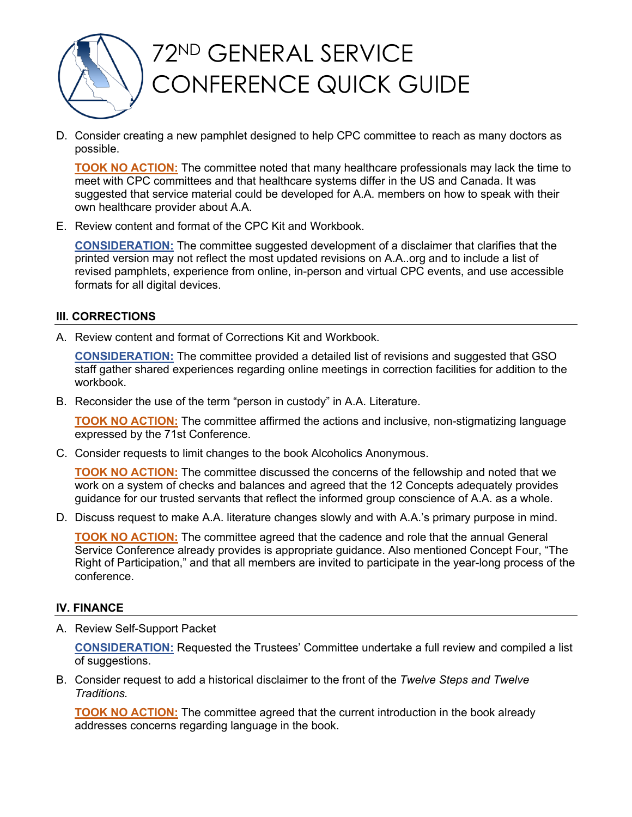

D. Consider creating a new pamphlet designed to help CPC committee to reach as many doctors as possible.

**TOOK NO ACTION:** The committee noted that many healthcare professionals may lack the time to meet with CPC committees and that healthcare systems differ in the US and Canada. It was suggested that service material could be developed for A.A. members on how to speak with their own healthcare provider about A.A.

E. Review content and format of the CPC Kit and Workbook.

**CONSIDERATION:** The committee suggested development of a disclaimer that clarifies that the printed version may not reflect the most updated revisions on A.A..org and to include a list of revised pamphlets, experience from online, in-person and virtual CPC events, and use accessible formats for all digital devices.

#### **III. CORRECTIONS**

A. Review content and format of Corrections Kit and Workbook.

**CONSIDERATION:** The committee provided a detailed list of revisions and suggested that GSO staff gather shared experiences regarding online meetings in correction facilities for addition to the workbook.

B. Reconsider the use of the term "person in custody" in A.A. Literature.

**TOOK NO ACTION:** The committee affirmed the actions and inclusive, non-stigmatizing language expressed by the 71st Conference.

C. Consider requests to limit changes to the book Alcoholics Anonymous.

**TOOK NO ACTION:** The committee discussed the concerns of the fellowship and noted that we work on a system of checks and balances and agreed that the 12 Concepts adequately provides guidance for our trusted servants that reflect the informed group conscience of A.A. as a whole.

D. Discuss request to make A.A. literature changes slowly and with A.A.'s primary purpose in mind.

**TOOK NO ACTION:** The committee agreed that the cadence and role that the annual General Service Conference already provides is appropriate guidance. Also mentioned Concept Four, "The Right of Participation," and that all members are invited to participate in the year-long process of the conference.

#### **IV. FINANCE**

A. Review Self-Support Packet

**CONSIDERATION:** Requested the Trustees' Committee undertake a full review and compiled a list of suggestions.

B. Consider request to add a historical disclaimer to the front of the *Twelve Steps and Twelve Traditions.*

**TOOK NO ACTION:** The committee agreed that the current introduction in the book already addresses concerns regarding language in the book.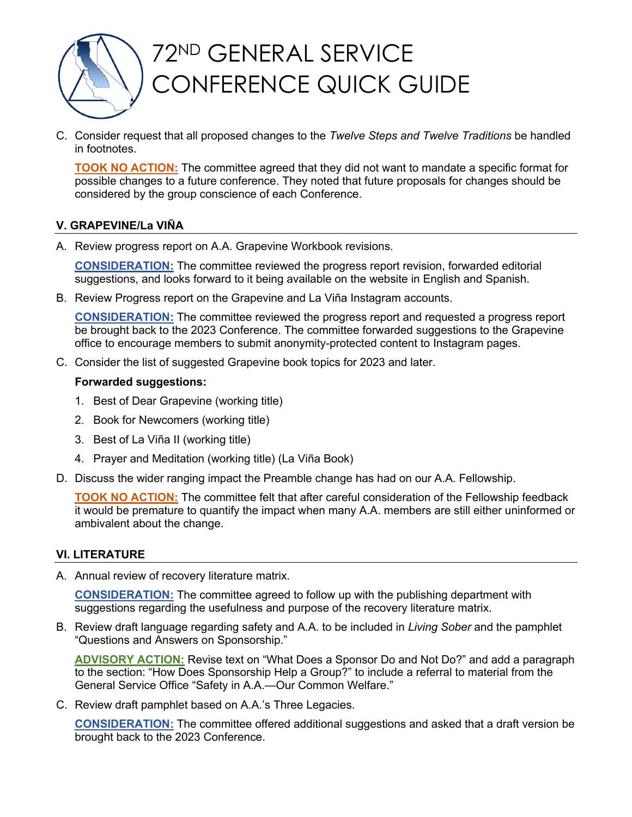

C. Consider request that all proposed changes to the *Twelve Steps and Twelve Traditions* be handled in footnotes.

**TOOK NO ACTION:** The committee agreed that they did not want to mandate a specific format for possible changes to a future conference. They noted that future proposals for changes should be considered by the group conscience of each Conference.

### **V. GRAPEVINE/La VIÑA**

A. Review progress report on A.A. Grapevine Workbook revisions.

**CONSIDERATION:** The committee reviewed the progress report revision, forwarded editorial suggestions, and looks forward to it being available on the website in English and Spanish.

B. Review Progress report on the Grapevine and La Viña Instagram accounts.

**CONSIDERATION:** The committee reviewed the progress report and requested a progress report be brought back to the 2023 Conference. The committee forwarded suggestions to the Grapevine office to encourage members to submit anonymity-protected content to Instagram pages.

C. Consider the list of suggested Grapevine book topics for 2023 and later.

#### **Forwarded suggestions:**

- 1. Best of Dear Grapevine (working title)
- 2. Book for Newcomers (working title)
- 3. Best of La Viña II (working title)
- 4. Prayer and Meditation (working title) (La Viña Book)
- D. Discuss the wider ranging impact the Preamble change has had on our A.A. Fellowship.

**TOOK NO ACTION:** The committee felt that after careful consideration of the Fellowship feedback it would be premature to quantify the impact when many A.A. members are still either uninformed or ambivalent about the change.

#### **VI. LITERATURE**

A. Annual review of recovery literature matrix.

**CONSIDERATION:** The committee agreed to follow up with the publishing department with suggestions regarding the usefulness and purpose of the recovery literature matrix.

B. Review draft language regarding safety and A.A. to be included in *Living Sober* and the pamphlet "Questions and Answers on Sponsorship."

**ADVISORY ACTION:** Revise text on "What Does a Sponsor Do and Not Do?" and add a paragraph to the section: "How Does Sponsorship Help a Group?" to include a referral to material from the General Service Office "Safety in A.A.—Our Common Welfare."

C. Review draft pamphlet based on A.A.'s Three Legacies.

**CONSIDERATION:** The committee offered additional suggestions and asked that a draft version be brought back to the 2023 Conference.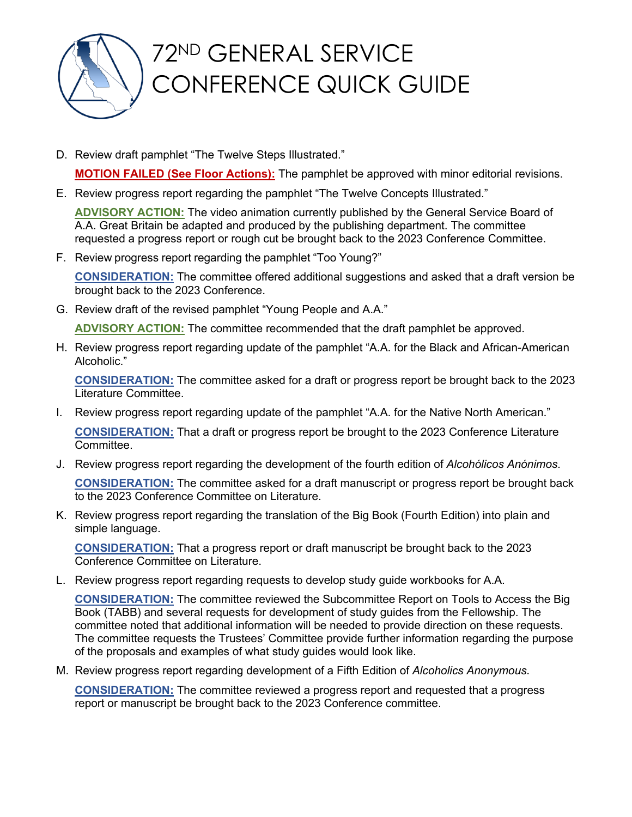

- D. Review draft pamphlet "The Twelve Steps Illustrated." **MOTION FAILED (See Floor Actions):** The pamphlet be approved with minor editorial revisions.
- E. Review progress report regarding the pamphlet "The Twelve Concepts Illustrated."

**ADVISORY ACTION:** The video animation currently published by the General Service Board of A.A. Great Britain be adapted and produced by the publishing department. The committee requested a progress report or rough cut be brought back to the 2023 Conference Committee.

F. Review progress report regarding the pamphlet "Too Young?"

**CONSIDERATION:** The committee offered additional suggestions and asked that a draft version be brought back to the 2023 Conference.

G. Review draft of the revised pamphlet "Young People and A.A."

**ADVISORY ACTION:** The committee recommended that the draft pamphlet be approved.

H. Review progress report regarding update of the pamphlet "A.A. for the Black and African-American Alcoholic."

**CONSIDERATION:** The committee asked for a draft or progress report be brought back to the 2023 Literature Committee.

- I. Review progress report regarding update of the pamphlet "A.A. for the Native North American." **CONSIDERATION:** That a draft or progress report be brought to the 2023 Conference Literature Committee.
- J. Review progress report regarding the development of the fourth edition of *Alcohólicos Anónimos*.

**CONSIDERATION:** The committee asked for a draft manuscript or progress report be brought back to the 2023 Conference Committee on Literature.

K. Review progress report regarding the translation of the Big Book (Fourth Edition) into plain and simple language.

**CONSIDERATION:** That a progress report or draft manuscript be brought back to the 2023 Conference Committee on Literature.

L. Review progress report regarding requests to develop study guide workbooks for A.A.

**CONSIDERATION:** The committee reviewed the Subcommittee Report on Tools to Access the Big Book (TABB) and several requests for development of study guides from the Fellowship. The committee noted that additional information will be needed to provide direction on these requests. The committee requests the Trustees' Committee provide further information regarding the purpose of the proposals and examples of what study guides would look like.

M. Review progress report regarding development of a Fifth Edition of *Alcoholics Anonymous*.

**CONSIDERATION:** The committee reviewed a progress report and requested that a progress report or manuscript be brought back to the 2023 Conference committee.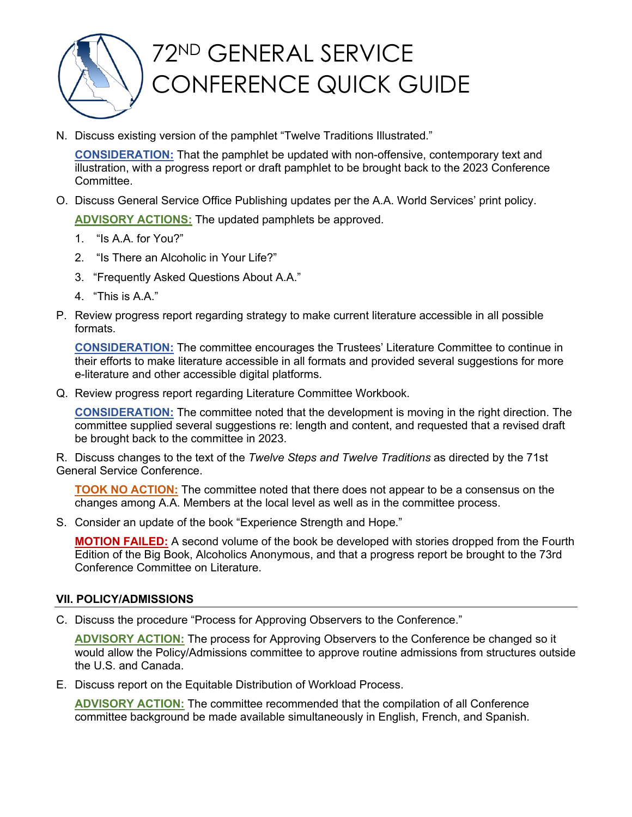

N. Discuss existing version of the pamphlet "Twelve Traditions Illustrated."

**CONSIDERATION:** That the pamphlet be updated with non-offensive, contemporary text and illustration, with a progress report or draft pamphlet to be brought back to the 2023 Conference Committee.

O. Discuss General Service Office Publishing updates per the A.A. World Services' print policy.

**ADVISORY ACTIONS:** The updated pamphlets be approved.

- 1. "Is A.A. for You?"
- 2. "Is There an Alcoholic in Your Life?"
- 3. "Frequently Asked Questions About A.A."
- 4. "This is A.A."
- P. Review progress report regarding strategy to make current literature accessible in all possible formats.

**CONSIDERATION:** The committee encourages the Trustees' Literature Committee to continue in their efforts to make literature accessible in all formats and provided several suggestions for more e-literature and other accessible digital platforms.

Q. Review progress report regarding Literature Committee Workbook.

**CONSIDERATION:** The committee noted that the development is moving in the right direction. The committee supplied several suggestions re: length and content, and requested that a revised draft be brought back to the committee in 2023.

R. Discuss changes to the text of the *Twelve Steps and Twelve Traditions* as directed by the 71st General Service Conference.

**TOOK NO ACTION:** The committee noted that there does not appear to be a consensus on the changes among A.A. Members at the local level as well as in the committee process.

S. Consider an update of the book "Experience Strength and Hope."

**MOTION FAILED:** A second volume of the book be developed with stories dropped from the Fourth Edition of the Big Book, Alcoholics Anonymous, and that a progress report be brought to the 73rd Conference Committee on Literature.

#### **VII. POLICY/ADMISSIONS**

C. Discuss the procedure "Process for Approving Observers to the Conference."

**ADVISORY ACTION:** The process for Approving Observers to the Conference be changed so it would allow the Policy/Admissions committee to approve routine admissions from structures outside the U.S. and Canada.

E. Discuss report on the Equitable Distribution of Workload Process.

**ADVISORY ACTION:** The committee recommended that the compilation of all Conference committee background be made available simultaneously in English, French, and Spanish.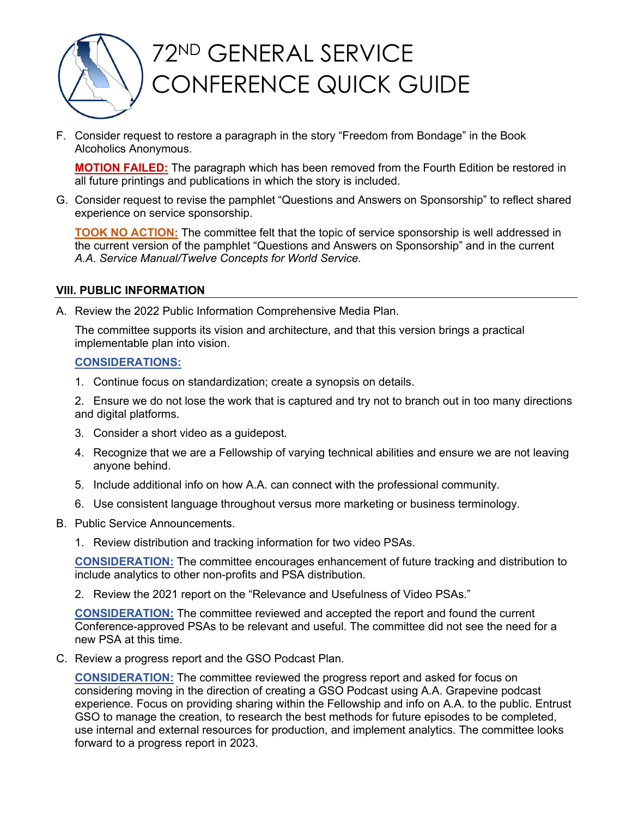

F. Consider request to restore a paragraph in the story "Freedom from Bondage" in the Book Alcoholics Anonymous.

**MOTION FAILED:** The paragraph which has been removed from the Fourth Edition be restored in all future printings and publications in which the story is included.

G. Consider request to revise the pamphlet "Questions and Answers on Sponsorship" to reflect shared experience on service sponsorship.

**TOOK NO ACTION:** The committee felt that the topic of service sponsorship is well addressed in the current version of the pamphlet "Questions and Answers on Sponsorship" and in the current *A.A. Service Manual/Twelve Concepts for World Service.*

#### **VIII. PUBLIC INFORMATION**

A. Review the 2022 Public Information Comprehensive Media Plan.

The committee supports its vision and architecture, and that this version brings a practical implementable plan into vision.

#### **CONSIDERATIONS:**

1. Continue focus on standardization; create a synopsis on details.

2. Ensure we do not lose the work that is captured and try not to branch out in too many directions and digital platforms.

- 3. Consider a short video as a guidepost.
- 4. Recognize that we are a Fellowship of varying technical abilities and ensure we are not leaving anyone behind.
- 5. Include additional info on how A.A. can connect with the professional community.
- 6. Use consistent language throughout versus more marketing or business terminology.
- B. Public Service Announcements.
	- 1. Review distribution and tracking information for two video PSAs.

**CONSIDERATION:** The committee encourages enhancement of future tracking and distribution to include analytics to other non-profits and PSA distribution.

2. Review the 2021 report on the "Relevance and Usefulness of Video PSAs."

**CONSIDERATION:** The committee reviewed and accepted the report and found the current Conference-approved PSAs to be relevant and useful. The committee did not see the need for a new PSA at this time.

C. Review a progress report and the GSO Podcast Plan.

**CONSIDERATION:** The committee reviewed the progress report and asked for focus on considering moving in the direction of creating a GSO Podcast using A.A. Grapevine podcast experience. Focus on providing sharing within the Fellowship and info on A.A. to the public. Entrust GSO to manage the creation, to research the best methods for future episodes to be completed, use internal and external resources for production, and implement analytics. The committee looks forward to a progress report in 2023.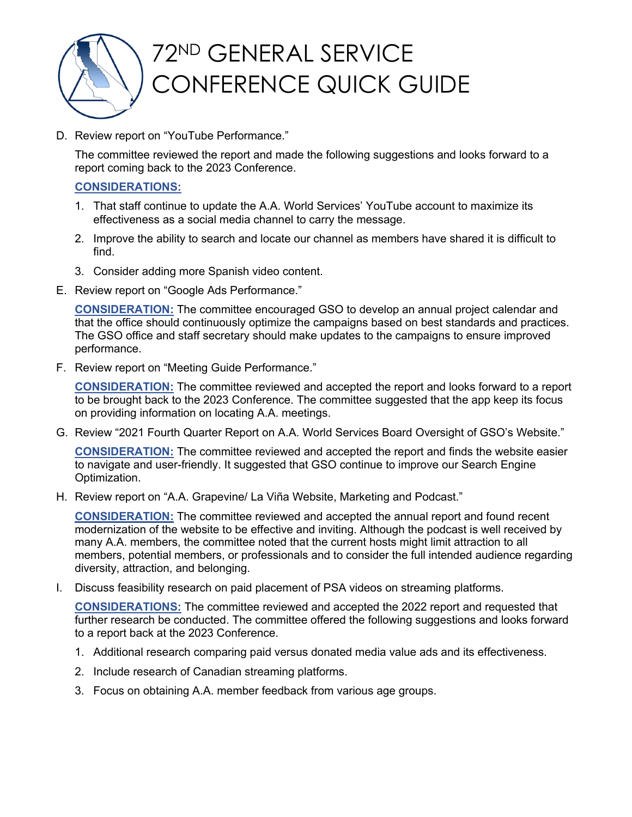

D. Review report on "YouTube Performance."

The committee reviewed the report and made the following suggestions and looks forward to a report coming back to the 2023 Conference.

### **CONSIDERATIONS:**

- 1. That staff continue to update the A.A. World Services' YouTube account to maximize its effectiveness as a social media channel to carry the message.
- 2. Improve the ability to search and locate our channel as members have shared it is difficult to find.
- 3. Consider adding more Spanish video content.
- E. Review report on "Google Ads Performance."

**CONSIDERATION:** The committee encouraged GSO to develop an annual project calendar and that the office should continuously optimize the campaigns based on best standards and practices. The GSO office and staff secretary should make updates to the campaigns to ensure improved performance.

F. Review report on "Meeting Guide Performance."

**CONSIDERATION:** The committee reviewed and accepted the report and looks forward to a report to be brought back to the 2023 Conference. The committee suggested that the app keep its focus on providing information on locating A.A. meetings.

G. Review "2021 Fourth Quarter Report on A.A. World Services Board Oversight of GSO's Website."

**CONSIDERATION:** The committee reviewed and accepted the report and finds the website easier to navigate and user-friendly. It suggested that GSO continue to improve our Search Engine Optimization.

H. Review report on "A.A. Grapevine/ La Viña Website, Marketing and Podcast."

**CONSIDERATION:** The committee reviewed and accepted the annual report and found recent modernization of the website to be effective and inviting. Although the podcast is well received by many A.A. members, the committee noted that the current hosts might limit attraction to all members, potential members, or professionals and to consider the full intended audience regarding diversity, attraction, and belonging.

I. Discuss feasibility research on paid placement of PSA videos on streaming platforms.

**CONSIDERATIONS:** The committee reviewed and accepted the 2022 report and requested that further research be conducted. The committee offered the following suggestions and looks forward to a report back at the 2023 Conference.

- 1. Additional research comparing paid versus donated media value ads and its effectiveness.
- 2. Include research of Canadian streaming platforms.
- 3. Focus on obtaining A.A. member feedback from various age groups.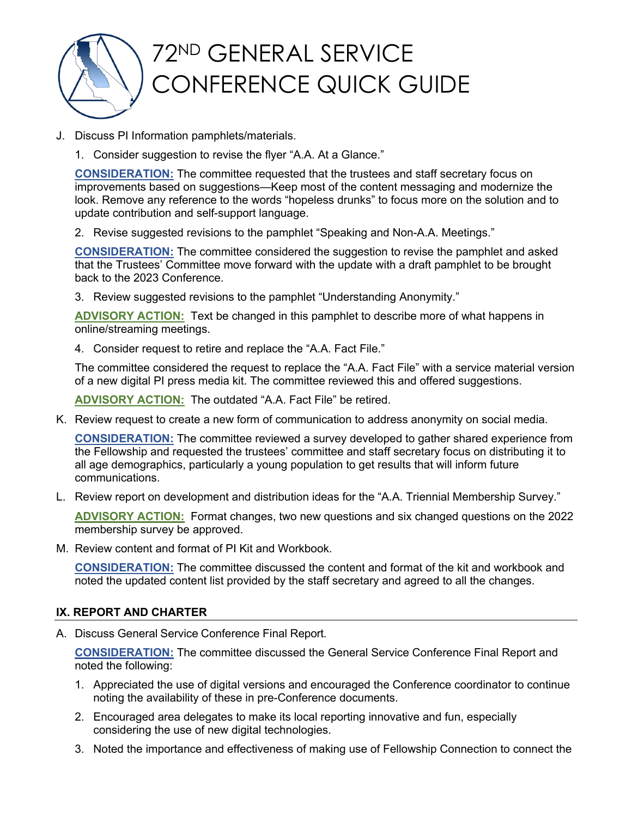

- J. Discuss PI Information pamphlets/materials.
	- 1. Consider suggestion to revise the flyer "A.A. At a Glance."

**CONSIDERATION:** The committee requested that the trustees and staff secretary focus on improvements based on suggestions—Keep most of the content messaging and modernize the look. Remove any reference to the words "hopeless drunks" to focus more on the solution and to update contribution and self-support language.

2. Revise suggested revisions to the pamphlet "Speaking and Non-A.A. Meetings."

**CONSIDERATION:** The committee considered the suggestion to revise the pamphlet and asked that the Trustees' Committee move forward with the update with a draft pamphlet to be brought back to the 2023 Conference.

3. Review suggested revisions to the pamphlet "Understanding Anonymity."

**ADVISORY ACTION:** Text be changed in this pamphlet to describe more of what happens in online/streaming meetings.

4. Consider request to retire and replace the "A.A. Fact File."

The committee considered the request to replace the "A.A. Fact File" with a service material version of a new digital PI press media kit. The committee reviewed this and offered suggestions.

**ADVISORY ACTION:** The outdated "A.A. Fact File" be retired.

K. Review request to create a new form of communication to address anonymity on social media.

**CONSIDERATION:** The committee reviewed a survey developed to gather shared experience from the Fellowship and requested the trustees' committee and staff secretary focus on distributing it to all age demographics, particularly a young population to get results that will inform future communications.

L. Review report on development and distribution ideas for the "A.A. Triennial Membership Survey."

**ADVISORY ACTION:** Format changes, two new questions and six changed questions on the 2022 membership survey be approved.

M. Review content and format of PI Kit and Workbook.

**CONSIDERATION:** The committee discussed the content and format of the kit and workbook and noted the updated content list provided by the staff secretary and agreed to all the changes.

### **IX. REPORT AND CHARTER**

A. Discuss General Service Conference Final Report*.*

**CONSIDERATION:** The committee discussed the General Service Conference Final Report and noted the following:

- 1. Appreciated the use of digital versions and encouraged the Conference coordinator to continue noting the availability of these in pre-Conference documents.
- 2. Encouraged area delegates to make its local reporting innovative and fun, especially considering the use of new digital technologies.
- 3. Noted the importance and effectiveness of making use of Fellowship Connection to connect the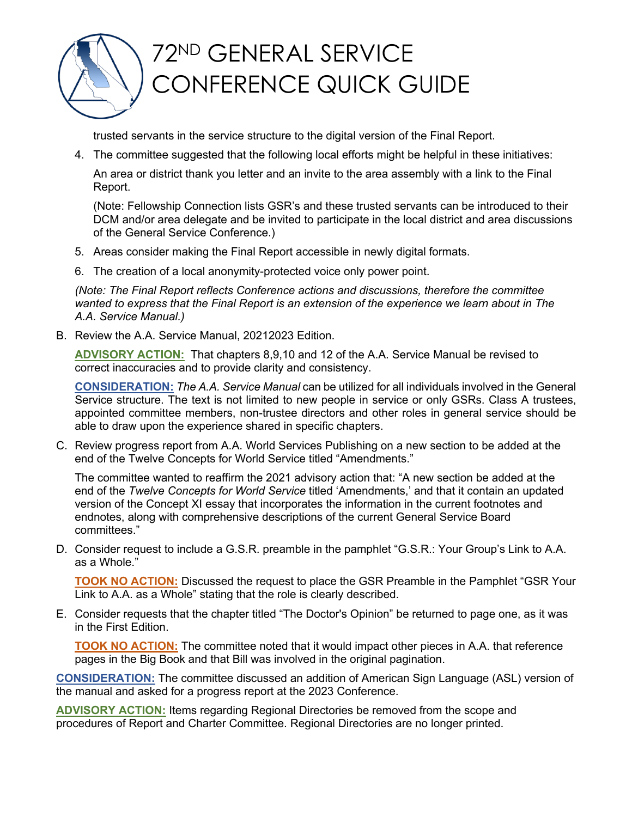

trusted servants in the service structure to the digital version of the Final Report.

4. The committee suggested that the following local efforts might be helpful in these initiatives:

An area or district thank you letter and an invite to the area assembly with a link to the Final Report.

(Note: Fellowship Connection lists GSR's and these trusted servants can be introduced to their DCM and/or area delegate and be invited to participate in the local district and area discussions of the General Service Conference.)

- 5. Areas consider making the Final Report accessible in newly digital formats.
- 6. The creation of a local anonymity-protected voice only power point.

*(Note: The Final Report reflects Conference actions and discussions, therefore the committee wanted to express that the Final Report is an extension of the experience we learn about in The A.A. Service Manual.)*

B. Review the A.A. Service Manual, 20212023 Edition.

**ADVISORY ACTION:** That chapters 8,9,10 and 12 of the A.A. Service Manual be revised to correct inaccuracies and to provide clarity and consistency.

**CONSIDERATION:** *The A.A. Service Manual* can be utilized for all individuals involved in the General Service structure. The text is not limited to new people in service or only GSRs. Class A trustees, appointed committee members, non-trustee directors and other roles in general service should be able to draw upon the experience shared in specific chapters.

C. Review progress report from A.A. World Services Publishing on a new section to be added at the end of the Twelve Concepts for World Service titled "Amendments."

The committee wanted to reaffirm the 2021 advisory action that: "A new section be added at the end of the *Twelve Concepts for World Service* titled 'Amendments,' and that it contain an updated version of the Concept XI essay that incorporates the information in the current footnotes and endnotes, along with comprehensive descriptions of the current General Service Board committees."

D. Consider request to include a G.S.R. preamble in the pamphlet "G.S.R.: Your Group's Link to A.A. as a Whole."

**TOOK NO ACTION:** Discussed the request to place the GSR Preamble in the Pamphlet "GSR Your Link to A.A. as a Whole" stating that the role is clearly described.

E. Consider requests that the chapter titled "The Doctor's Opinion" be returned to page one, as it was in the First Edition.

**TOOK NO ACTION:** The committee noted that it would impact other pieces in A.A. that reference pages in the Big Book and that Bill was involved in the original pagination.

**CONSIDERATION:** The committee discussed an addition of American Sign Language (ASL) version of the manual and asked for a progress report at the 2023 Conference.

**ADVISORY ACTION:** Items regarding Regional Directories be removed from the scope and procedures of Report and Charter Committee. Regional Directories are no longer printed.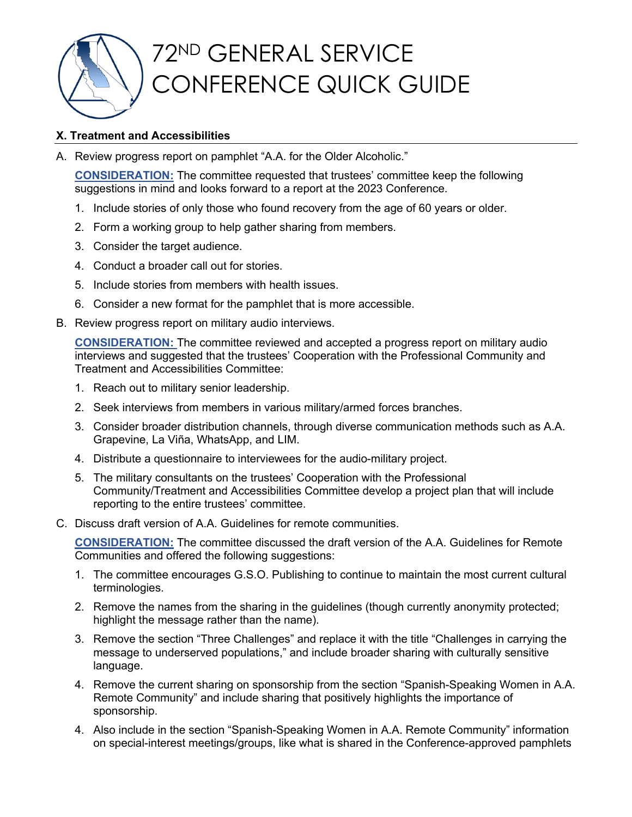

#### **X. Treatment and Accessibilities**

A. Review progress report on pamphlet "A.A. for the Older Alcoholic."

**CONSIDERATION:** The committee requested that trustees' committee keep the following suggestions in mind and looks forward to a report at the 2023 Conference.

- 1. Include stories of only those who found recovery from the age of 60 years or older.
- 2. Form a working group to help gather sharing from members.
- 3. Consider the target audience.
- 4. Conduct a broader call out for stories.
- 5. Include stories from members with health issues.
- 6. Consider a new format for the pamphlet that is more accessible.
- B. Review progress report on military audio interviews.

**CONSIDERATION:** The committee reviewed and accepted a progress report on military audio interviews and suggested that the trustees' Cooperation with the Professional Community and Treatment and Accessibilities Committee:

- 1. Reach out to military senior leadership.
- 2. Seek interviews from members in various military/armed forces branches.
- 3. Consider broader distribution channels, through diverse communication methods such as A.A. Grapevine, La Viña, WhatsApp, and LIM.
- 4. Distribute a questionnaire to interviewees for the audio-military project.
- 5. The military consultants on the trustees' Cooperation with the Professional Community/Treatment and Accessibilities Committee develop a project plan that will include reporting to the entire trustees' committee.
- C. Discuss draft version of A.A. Guidelines for remote communities.

**CONSIDERATION:** The committee discussed the draft version of the A.A. Guidelines for Remote Communities and offered the following suggestions:

- 1. The committee encourages G.S.O. Publishing to continue to maintain the most current cultural terminologies.
- 2. Remove the names from the sharing in the guidelines (though currently anonymity protected; highlight the message rather than the name).
- 3. Remove the section "Three Challenges" and replace it with the title "Challenges in carrying the message to underserved populations," and include broader sharing with culturally sensitive language.
- 4. Remove the current sharing on sponsorship from the section "Spanish-Speaking Women in A.A. Remote Community" and include sharing that positively highlights the importance of sponsorship.
- 4. Also include in the section "Spanish-Speaking Women in A.A. Remote Community" information on special-interest meetings/groups, like what is shared in the Conference-approved pamphlets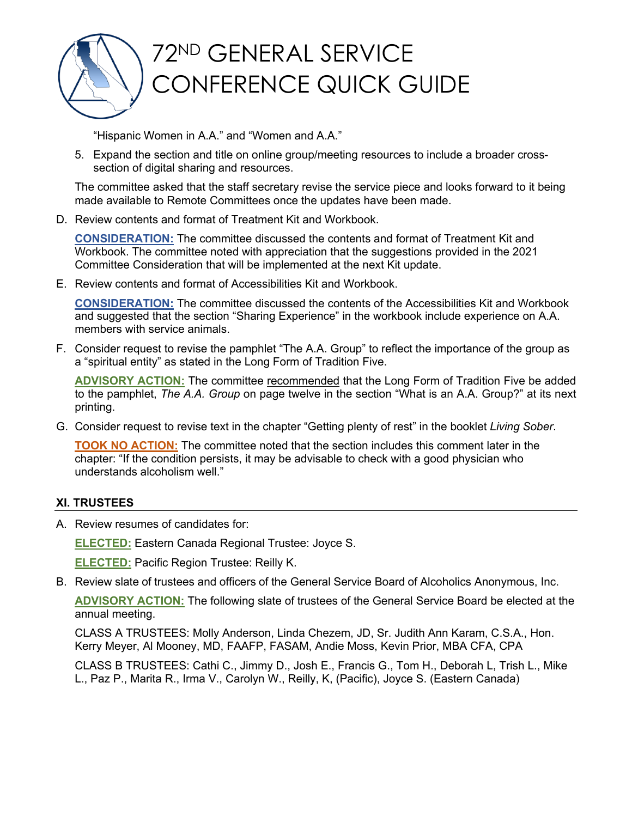

"Hispanic Women in A.A." and "Women and A.A."

5. Expand the section and title on online group/meeting resources to include a broader crosssection of digital sharing and resources.

The committee asked that the staff secretary revise the service piece and looks forward to it being made available to Remote Committees once the updates have been made.

D. Review contents and format of Treatment Kit and Workbook.

**CONSIDERATION:** The committee discussed the contents and format of Treatment Kit and Workbook. The committee noted with appreciation that the suggestions provided in the 2021 Committee Consideration that will be implemented at the next Kit update.

E. Review contents and format of Accessibilities Kit and Workbook.

**CONSIDERATION:** The committee discussed the contents of the Accessibilities Kit and Workbook and suggested that the section "Sharing Experience" in the workbook include experience on A.A. members with service animals.

F. Consider request to revise the pamphlet "The A.A. Group" to reflect the importance of the group as a "spiritual entity" as stated in the Long Form of Tradition Five.

**ADVISORY ACTION:** The committee recommended that the Long Form of Tradition Five be added to the pamphlet, *The A.A. Group* on page twelve in the section "What is an A.A. Group?" at its next printing.

G. Consider request to revise text in the chapter "Getting plenty of rest" in the booklet *Living Sober*.

**TOOK NO ACTION:** The committee noted that the section includes this comment later in the chapter: "If the condition persists, it may be advisable to check with a good physician who understands alcoholism well."

### **XI. TRUSTEES**

A. Review resumes of candidates for:

**ELECTED:** Eastern Canada Regional Trustee: Joyce S.

**ELECTED:** Pacific Region Trustee: Reilly K.

B. Review slate of trustees and officers of the General Service Board of Alcoholics Anonymous, Inc.

**ADVISORY ACTION:** The following slate of trustees of the General Service Board be elected at the annual meeting.

CLASS A TRUSTEES: Molly Anderson, Linda Chezem, JD, Sr. Judith Ann Karam, C.S.A., Hon. Kerry Meyer, Al Mooney, MD, FAAFP, FASAM, Andie Moss, Kevin Prior, MBA CFA, CPA

CLASS B TRUSTEES: Cathi C., Jimmy D., Josh E., Francis G., Tom H., Deborah L, Trish L., Mike L., Paz P., Marita R., Irma V., Carolyn W., Reilly, K, (Pacific), Joyce S. (Eastern Canada)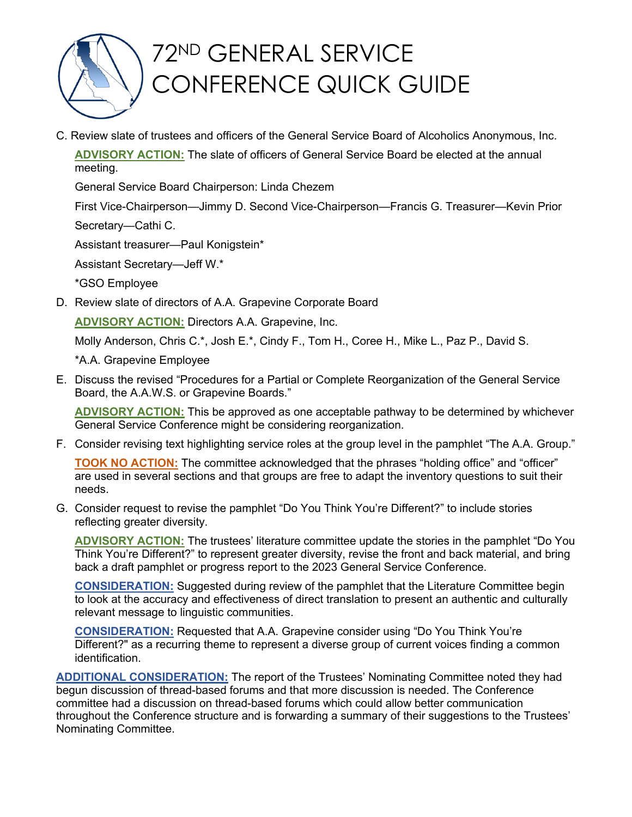

C. Review slate of trustees and officers of the General Service Board of Alcoholics Anonymous, Inc.

**ADVISORY ACTION:** The slate of officers of General Service Board be elected at the annual meeting.

General Service Board Chairperson: Linda Chezem

First Vice-Chairperson—Jimmy D. Second Vice-Chairperson—Francis G. Treasurer—Kevin Prior Secretary—Cathi C.

Assistant treasurer—Paul Konigstein\*

Assistant Secretary—Jeff W.\*

\*GSO Employee

D. Review slate of directors of A.A. Grapevine Corporate Board

**ADVISORY ACTION:** Directors A.A. Grapevine, Inc.

Molly Anderson, Chris C.\*, Josh E.\*, Cindy F., Tom H., Coree H., Mike L., Paz P., David S.

\*A.A. Grapevine Employee

E. Discuss the revised "Procedures for a Partial or Complete Reorganization of the General Service Board, the A.A.W.S. or Grapevine Boards."

**ADVISORY ACTION:** This be approved as one acceptable pathway to be determined by whichever General Service Conference might be considering reorganization.

F. Consider revising text highlighting service roles at the group level in the pamphlet "The A.A. Group."

**TOOK NO ACTION:** The committee acknowledged that the phrases "holding office" and "officer" are used in several sections and that groups are free to adapt the inventory questions to suit their needs.

G. Consider request to revise the pamphlet "Do You Think You're Different?" to include stories reflecting greater diversity.

**ADVISORY ACTION:** The trustees' literature committee update the stories in the pamphlet "Do You Think You're Different?" to represent greater diversity, revise the front and back material, and bring back a draft pamphlet or progress report to the 2023 General Service Conference.

**CONSIDERATION:** Suggested during review of the pamphlet that the Literature Committee begin to look at the accuracy and effectiveness of direct translation to present an authentic and culturally relevant message to linguistic communities.

**CONSIDERATION:** Requested that A.A. Grapevine consider using "Do You Think You're Different?" as a recurring theme to represent a diverse group of current voices finding a common identification.

**ADDITIONAL CONSIDERATION:** The report of the Trustees' Nominating Committee noted they had begun discussion of thread-based forums and that more discussion is needed. The Conference committee had a discussion on thread-based forums which could allow better communication throughout the Conference structure and is forwarding a summary of their suggestions to the Trustees' Nominating Committee.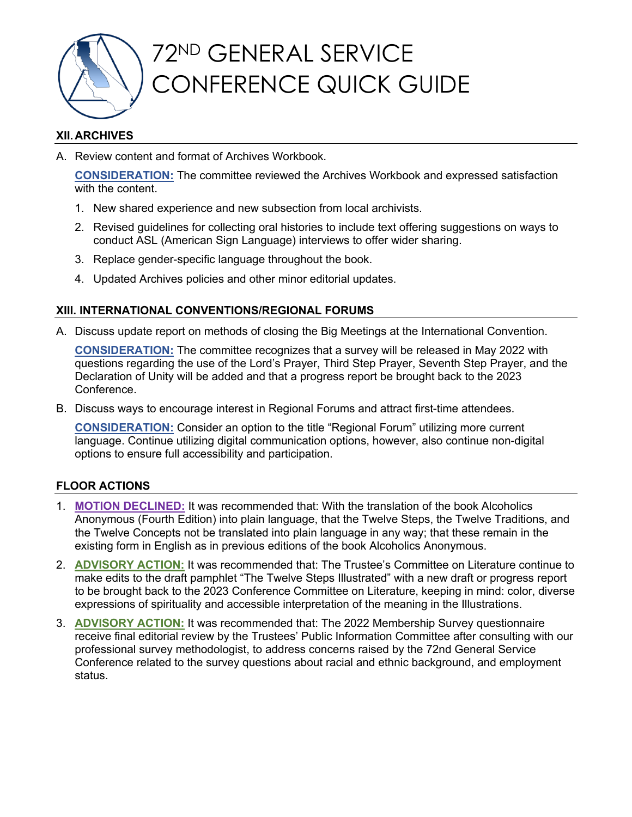

### **XII.ARCHIVES**

A. Review content and format of Archives Workbook.

**CONSIDERATION:** The committee reviewed the Archives Workbook and expressed satisfaction with the content.

- 1. New shared experience and new subsection from local archivists.
- 2. Revised guidelines for collecting oral histories to include text offering suggestions on ways to conduct ASL (American Sign Language) interviews to offer wider sharing.
- 3. Replace gender-specific language throughout the book.
- 4. Updated Archives policies and other minor editorial updates.

### **XIII. INTERNATIONAL CONVENTIONS/REGIONAL FORUMS**

A. Discuss update report on methods of closing the Big Meetings at the International Convention.

**CONSIDERATION:** The committee recognizes that a survey will be released in May 2022 with questions regarding the use of the Lord's Prayer, Third Step Prayer, Seventh Step Prayer, and the Declaration of Unity will be added and that a progress report be brought back to the 2023 **Conference** 

B. Discuss ways to encourage interest in Regional Forums and attract first-time attendees.

**CONSIDERATION:** Consider an option to the title "Regional Forum" utilizing more current language. Continue utilizing digital communication options, however, also continue non-digital options to ensure full accessibility and participation.

### **FLOOR ACTIONS**

- 1. **MOTION DECLINED:** It was recommended that: With the translation of the book Alcoholics Anonymous (Fourth Edition) into plain language, that the Twelve Steps, the Twelve Traditions, and the Twelve Concepts not be translated into plain language in any way; that these remain in the existing form in English as in previous editions of the book Alcoholics Anonymous.
- 2. **ADVISORY ACTION:** It was recommended that: The Trustee's Committee on Literature continue to make edits to the draft pamphlet "The Twelve Steps Illustrated" with a new draft or progress report to be brought back to the 2023 Conference Committee on Literature, keeping in mind: color, diverse expressions of spirituality and accessible interpretation of the meaning in the Illustrations.
- 3. **ADVISORY ACTION:** It was recommended that: The 2022 Membership Survey questionnaire receive final editorial review by the Trustees' Public Information Committee after consulting with our professional survey methodologist, to address concerns raised by the 72nd General Service Conference related to the survey questions about racial and ethnic background, and employment status.